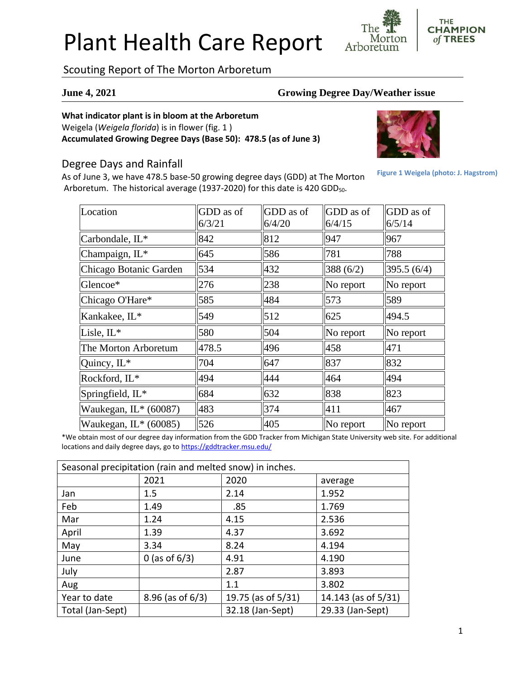# Plant Health Care Report

**THE CHAMPION** of TREES Morton Arboretum

Scouting Report of The Morton Arboretum

#### **June 4, 2021 Growing Degree Day/Weather issue**

### **What indicator plant is in bloom at the Arboretum**

Weigela (*Weigela florida*) is in flower (fig. 1 ) **Accumulated Growing Degree Days (Base 50): 478.5 (as of June 3)**

### Degree Days and Rainfall

As of June 3, we have 478.5 base-50 growing degree days (GDD) at The Morton Arboretum. The historical average (1937-2020) for this date is 420 GDD<sub>50</sub>.



**Figure 1 Weigela (photo: J. Hagstrom)**

| Location                | GDD as of<br>6/3/21 | GDD as of<br>6/4/20 | <b>GDD</b> as of<br>6/4/15 | GDD as of<br>6/5/14 |
|-------------------------|---------------------|---------------------|----------------------------|---------------------|
| Carbondale, IL*         | 842                 | 812                 | 947                        | 967                 |
| Champaign, IL*          | 645                 | 586                 | 781                        | 788                 |
| Chicago Botanic Garden  | 534                 | 432                 | 388 $(6/2)$                | 395.5 (6/4)         |
| Glencoe*                | 276                 | 238                 | No report                  | No report           |
| Chicago O'Hare*         | 585                 | 484                 | 573                        | 589                 |
| Kankakee, IL*           | 549                 | 512                 | 625                        | 494.5               |
| Lisle, $IL^*$           | 580                 | 504                 | No report                  | No report           |
| The Morton Arboretum    | 478.5               | 496                 | 458                        | 471                 |
| Quincy, IL*             | 704                 | 647                 | 837                        | 832                 |
| Rockford, IL*           | 494                 | 444                 | 464                        | 494                 |
| Springfield, IL*        | 684                 | 632                 | 838                        | 823                 |
| Waukegan, IL* (60087)   | 483                 | 374                 | 411                        | 467                 |
| Waukegan, $IL^*(60085)$ | 526                 | 405                 | $\ $ No report             | No report           |

\*We obtain most of our degree day information from the GDD Tracker from Michigan State University web site. For additional locations and daily degree days, go to <https://gddtracker.msu.edu/>

| Seasonal precipitation (rain and melted snow) in inches. |                       |                    |                     |  |  |
|----------------------------------------------------------|-----------------------|--------------------|---------------------|--|--|
|                                                          | 2021                  | 2020               | average             |  |  |
| Jan                                                      | 1.5                   | 2.14               | 1.952               |  |  |
| Feb                                                      | 1.49                  | .85                | 1.769               |  |  |
| Mar                                                      | 1.24                  | 4.15               | 2.536               |  |  |
| April                                                    | 1.39                  | 4.37               | 3.692               |  |  |
| May                                                      | 3.34                  | 8.24               | 4.194               |  |  |
| June                                                     | 0 (as of $6/3$ )      | 4.91               | 4.190               |  |  |
| July                                                     |                       | 2.87               | 3.893               |  |  |
| Aug                                                      |                       | 1.1                | 3.802               |  |  |
| Year to date                                             | $8.96$ (as of $6/3$ ) | 19.75 (as of 5/31) | 14.143 (as of 5/31) |  |  |
| Total (Jan-Sept)                                         |                       | 32.18 (Jan-Sept)   | 29.33 (Jan-Sept)    |  |  |